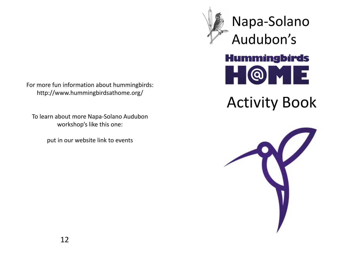For more fun information about hummingbirds: http://www.hummingbirdsathome.org/

To learn about more Napa-Solano Audubon workshop's like this one:

put in our website link to events

Napa-Solano Audubon's**Hummingbirds** QIT

# Activity Book

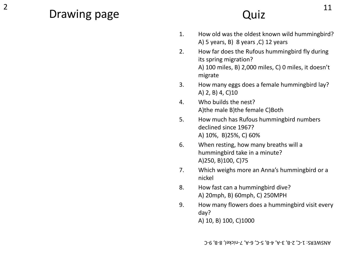# 2 **D**  $\alpha$  11 Drawing page

# Quiz

- 1. How old was the oldest known wild hummingbird? A) 5 years, B) 8 years ,C) 12 years
- 2. How far does the Rufous hummingbird fly during its spring migration? A) 100 miles, B) 2,000 miles, C) 0 miles, it doesn't migrate
- 3. How many eggs does a female hummingbird lay? A) 2, B) 4, C)10
- 4. Who builds the nest? A)the male B)the female C)Both
- 5. How much has Rufous hummingbird numbers declined since 1967? A) 10%, B)25%, C) 60%
- 6. When resting, how many breaths will a hummingbird take in a minute? A)250, B)100, C)75
- 7. Which weighs more an Anna's hummingbird or a nickel
- 8. How fast can a hummingbird dive? A) 20mph, B) 60mph, C) 250MPH
- 9. How many flowers does a hummingbird visit every day? A) 10, B) 100, C)1000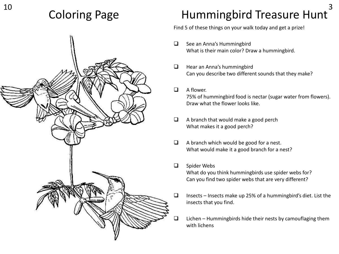

# $10$   $2 \times 5$   $1 \times 7$   $1 \times 1 = 3$ Coloring Page **Hummingbird Treasure Hunt**

Find 5 of these things on your walk today and get a prize!

- □ See an Anna's Hummingbird What is their main color? Draw a hummingbird.
- $\Box$  Hear an Anna's hummingbird Can you describe two different sounds that they make?
- $\Box$  A flower. 75% of hummingbird food is nectar (sugar water from flowers). Draw what the flower looks like.
- $\Box$  A branch that would make a good perch What makes it a good perch?
- $\Box$  A branch which would be good for a nest. What would make it a good branch for a nest?

### □ Spider Webs

What do you think hummingbirds use spider webs for? Can you find two spider webs that are very different?

- $\Box$  Insects Insects make up 25% of a hummingbird's diet. List the insects that you find.
- $\Box$  Lichen Hummingbirds hide their nests by camouflaging them with lichens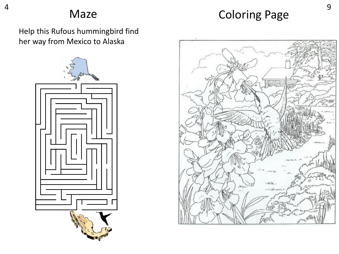Maze Coloring Page

Help this Rufous hummingbird find her way from Mexico to Alaska

4



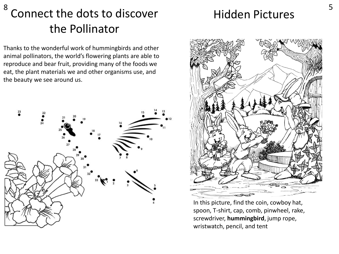# $8$   $6$  s  $\frac{1}{2}$   $\frac{1}{2}$   $\frac{1}{2}$   $\frac{1}{2}$   $\frac{1}{2}$   $\frac{1}{2}$   $\frac{1}{2}$   $\frac{1}{2}$   $\frac{1}{2}$   $\frac{1}{2}$   $\frac{1}{2}$   $\frac{1}{2}$   $\frac{1}{2}$   $\frac{1}{2}$   $\frac{1}{2}$   $\frac{1}{2}$   $\frac{1}{2}$   $\frac{1}{2}$   $\frac{1}{2}$   $\frac{1}{2}$   $\frac{1}{2}$  Connect the dots to discover hidden Pictures the Pollinator

Thanks to the wonderful work of hummingbirds and other animal pollinators, the world's flowering plants are able to reproduce and bear fruit, providing many of the foods we eat, the plant materials we and other organisms use, and the beauty we see around us.





In this picture, find the coin, cowboy hat, spoon, T-shirt, cap, comb, pinwheel, rake, screwdriver, **hummingbird**, jump rope, wristwatch, pencil, and tent